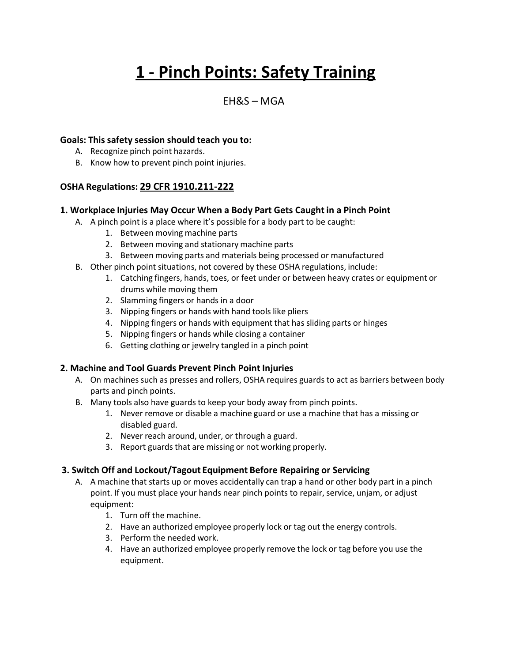# **1 - Pinch Points: Safety Training**

# $FHRS - MGA$

# **Goals: This safety session should teach you to:**

- A. Recognize pinch point hazards.
- B. Know how to prevent pinch point injuries.

# **OSHA Regulations: 29 CFR 1910.211-222**

#### **1. Workplace Injuries May Occur When a Body Part Gets Caught in a Pinch Point**

- A. A pinch point is a place where it's possible for a body part to be caught:
	- 1. Between moving machine parts
	- 2. Between moving and stationary machine parts
	- 3. Between moving parts and materials being processed or manufactured
- B. Other pinch point situations, not covered by these OSHA regulations, include:
	- 1. Catching fingers, hands, toes, or feet under or between heavy crates or equipment or drums while moving them
	- 2. Slamming fingers or hands in a door
	- 3. Nipping fingers or hands with hand tools like pliers
	- 4. Nipping fingers or hands with equipment that has sliding parts or hinges
	- 5. Nipping fingers or hands while closing a container
	- 6. Getting clothing or jewelry tangled in a pinch point

# **2. Machine and Tool Guards Prevent Pinch Point Injuries**

- A. On machines such as presses and rollers, OSHA requires guards to act as barriers between body parts and pinch points.
- B. Many tools also have guards to keep your body away from pinch points.
	- 1. Never remove or disable a machine guard or use a machine that has a missing or disabled guard.
	- 2. Never reach around, under, or through a guard.
	- 3. Report guards that are missing or not working properly.

#### **3. Switch Off and Lockout/Tagout Equipment Before Repairing or Servicing**

- A. A machine that starts up or moves accidentally can trap a hand or other body part in a pinch point. If you must place your hands near pinch points to repair, service, unjam, or adjust equipment:
	- 1. Turn off the machine.
	- 2. Have an authorized employee properly lock or tag out the energy controls.
	- 3. Perform the needed work.
	- 4. Have an authorized employee properly remove the lock or tag before you use the equipment.